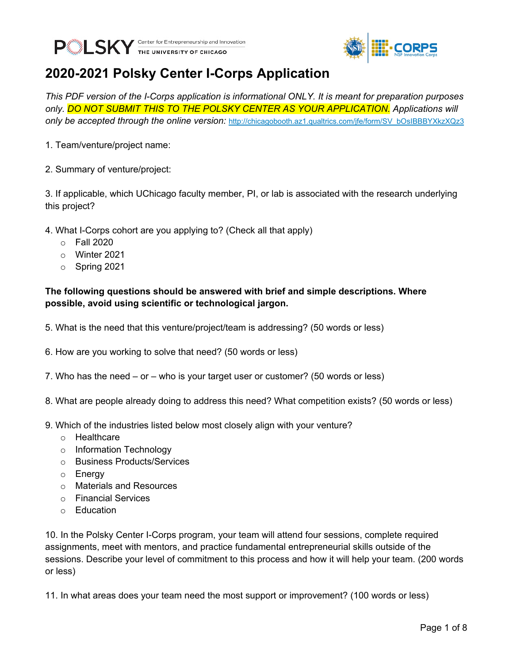



## **2020-2021 Polsky Center I-Corps Application**

*This PDF version of the I-Corps application is informational ONLY. It is meant for preparation purposes only. DO NOT SUBMIT THIS TO THE POLSKY CENTER AS YOUR APPLICATION. Applications will*  only be accepted through the online version: [http://chicagobooth.az1.qualtrics.com/jfe/form/SV\\_bOsIBBBYXkzXQz3](http://chicagobooth.az1.qualtrics.com/jfe/form/SV_bOsIBBBYXkzXQz3)

- 1. Team/venture/project name:
- 2. Summary of venture/project:

3. If applicable, which UChicago faculty member, PI, or lab is associated with the research underlying this project?

4. What I-Corps cohort are you applying to? (Check all that apply)

- $\circ$  Fall 2020
- o Winter 2021
- o Spring 2021

## **The following questions should be answered with brief and simple descriptions. Where possible, avoid using scientific or technological jargon.**

- 5. What is the need that this venture/project/team is addressing? (50 words or less)
- 6. How are you working to solve that need? (50 words or less)
- 7. Who has the need or who is your target user or customer? (50 words or less)
- 8. What are people already doing to address this need? What competition exists? (50 words or less)
- 9. Which of the industries listed below most closely align with your venture?
	- o Healthcare
	- o Information Technology
	- o Business Products/Services
	- o Energy
	- o Materials and Resources
	- o Financial Services
	- o Education

10. In the Polsky Center I-Corps program, your team will attend four sessions, complete required assignments, meet with mentors, and practice fundamental entrepreneurial skills outside of the sessions. Describe your level of commitment to this process and how it will help your team. (200 words or less)

11. In what areas does your team need the most support or improvement? (100 words or less)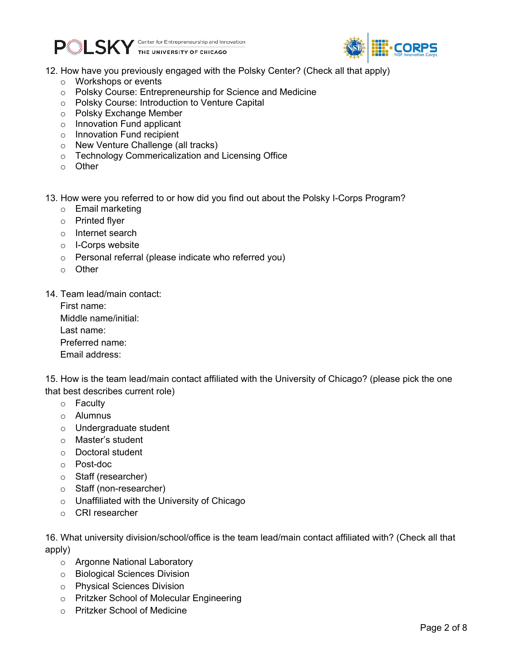



- 12. How have you previously engaged with the Polsky Center? (Check all that apply)
	- o Workshops or events
	- o Polsky Course: Entrepreneurship for Science and Medicine
	- o Polsky Course: Introduction to Venture Capital
	- o Polsky Exchange Member
	- o Innovation Fund applicant
	- o Innovation Fund recipient
	- o New Venture Challenge (all tracks)
	- o Technology Commericalization and Licensing Office
	- o Other
- 13. How were you referred to or how did you find out about the Polsky I-Corps Program?
	- o Email marketing
	- o Printed flyer
	- o Internet search
	- o I-Corps website
	- o Personal referral (please indicate who referred you)
	- o Other
- 14. Team lead/main contact:

First name: Middle name/initial: Last name: Preferred name: Email address:

15. How is the team lead/main contact affiliated with the University of Chicago? (please pick the one that best describes current role)

- o Faculty
- o Alumnus
- o Undergraduate student
- o Master's student
- o Doctoral student
- o Post-doc
- o Staff (researcher)
- o Staff (non-researcher)
- o Unaffiliated with the University of Chicago
- o CRI researcher

16. What university division/school/office is the team lead/main contact affiliated with? (Check all that apply)

- o Argonne National Laboratory
- o Biological Sciences Division
- o Physical Sciences Division
- o Pritzker School of Molecular Engineering
- o Pritzker School of Medicine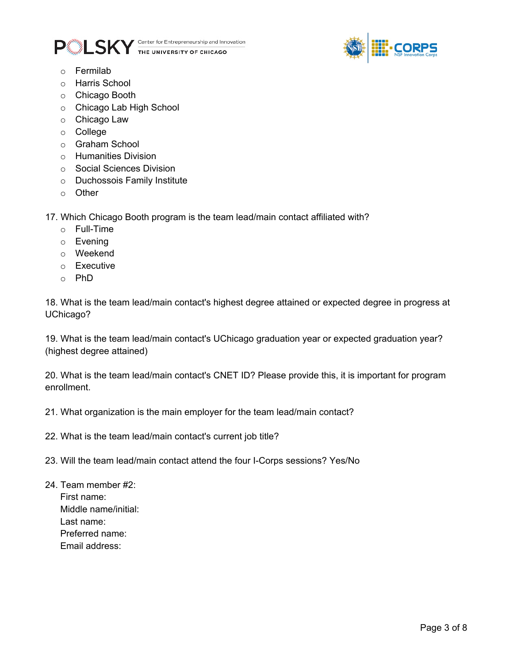



- o Fermilab
- o Harris School
- o Chicago Booth
- o Chicago Lab High School
- o Chicago Law
- o College
- o Graham School
- o Humanities Division
- o Social Sciences Division
- o Duchossois Family Institute
- o Other

17. Which Chicago Booth program is the team lead/main contact affiliated with?

- o Full-Time
- o Evening
- o Weekend
- o Executive
- o PhD

18. What is the team lead/main contact's highest degree attained or expected degree in progress at UChicago?

19. What is the team lead/main contact's UChicago graduation year or expected graduation year? (highest degree attained)

20. What is the team lead/main contact's CNET ID? Please provide this, it is important for program enrollment.

- 21. What organization is the main employer for the team lead/main contact?
- 22. What is the team lead/main contact's current job title?
- 23. Will the team lead/main contact attend the four I-Corps sessions? Yes/No
- 24. Team member #2: First name: Middle name/initial: Last name: Preferred name: Email address: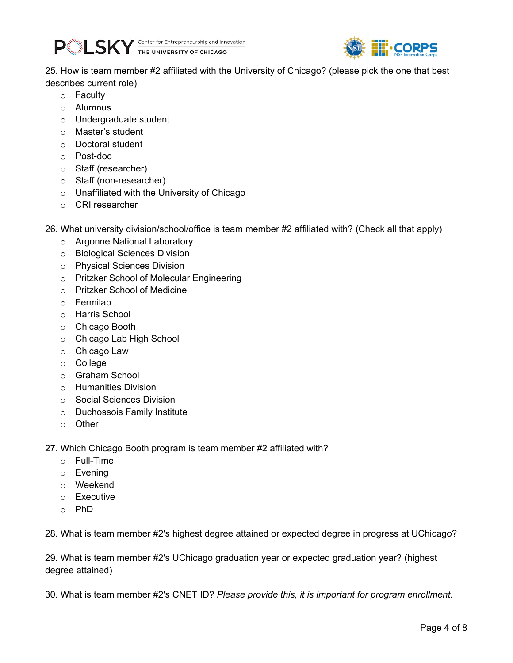



25. How is team member #2 affiliated with the University of Chicago? (please pick the one that best describes current role)

- o Faculty
- o Alumnus
- o Undergraduate student
- o Master's student
- o Doctoral student
- o Post-doc
- o Staff (researcher)
- o Staff (non-researcher)
- o Unaffiliated with the University of Chicago
- o CRI researcher

26. What university division/school/office is team member #2 affiliated with? (Check all that apply)

- o Argonne National Laboratory
- o Biological Sciences Division
- o Physical Sciences Division
- o Pritzker School of Molecular Engineering
- o Pritzker School of Medicine
- o Fermilab
- o Harris School
- o Chicago Booth
- o Chicago Lab High School
- o Chicago Law
- o College
- o Graham School
- o Humanities Division
- o Social Sciences Division
- o Duchossois Family Institute
- o Other

27. Which Chicago Booth program is team member #2 affiliated with?

- o Full-Time
- o Evening
- o Weekend
- o Executive
- o PhD

28. What is team member #2's highest degree attained or expected degree in progress at UChicago?

29. What is team member #2's UChicago graduation year or expected graduation year? (highest degree attained)

30. What is team member #2's CNET ID? *Please provide this, it is important for program enrollment.*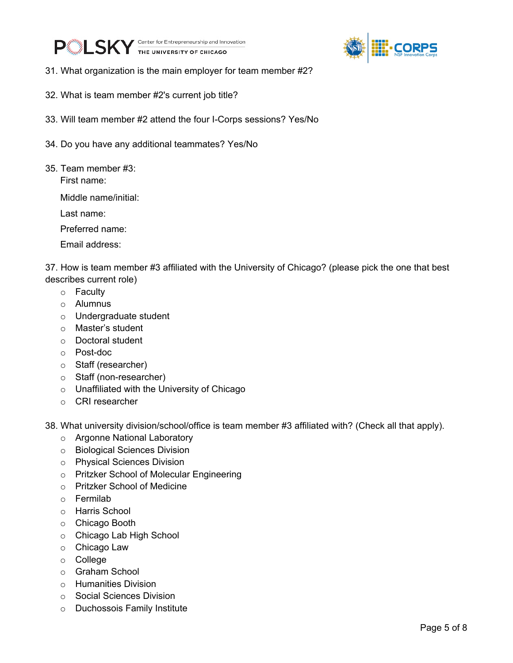



- 31. What organization is the main employer for team member #2?
- 32. What is team member #2's current job title?
- 33. Will team member #2 attend the four I-Corps sessions? Yes/No
- 34. Do you have any additional teammates? Yes/No
- 35. Team member #3:

First name:

Middle name/initial:

Last name:

Preferred name:

Email address:

37. How is team member #3 affiliated with the University of Chicago? (please pick the one that best describes current role)

- o Faculty
- o Alumnus
- o Undergraduate student
- o Master's student
- o Doctoral student
- o Post-doc
- o Staff (researcher)
- o Staff (non-researcher)
- o Unaffiliated with the University of Chicago
- o CRI researcher

38. What university division/school/office is team member #3 affiliated with? (Check all that apply).

- o Argonne National Laboratory
- o Biological Sciences Division
- o Physical Sciences Division
- o Pritzker School of Molecular Engineering
- o Pritzker School of Medicine
- o Fermilab
- o Harris School
- o Chicago Booth
- o Chicago Lab High School
- o Chicago Law
- o College
- o Graham School
- o Humanities Division
- o Social Sciences Division
- o Duchossois Family Institute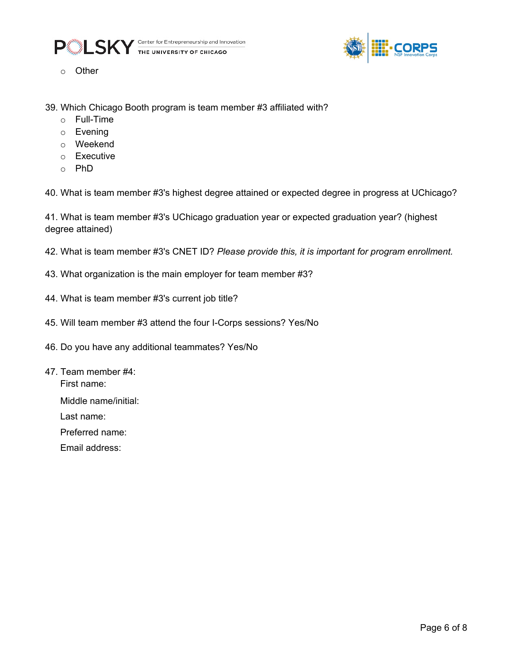



- o Other
- 39. Which Chicago Booth program is team member #3 affiliated with?
	- o Full-Time
	- o Evening
	- o Weekend
	- o Executive
	- $\circ$  PhD

40. What is team member #3's highest degree attained or expected degree in progress at UChicago?

41. What is team member #3's UChicago graduation year or expected graduation year? (highest degree attained)

- 42. What is team member #3's CNET ID? *Please provide this, it is important for program enrollment.*
- 43. What organization is the main employer for team member #3?
- 44. What is team member #3's current job title?
- 45. Will team member #3 attend the four I-Corps sessions? Yes/No
- 46. Do you have any additional teammates? Yes/No
- 47. Team member #4: First name:
	- Middle name/initial:
	- Last name:
	- Preferred name:
	- Email address: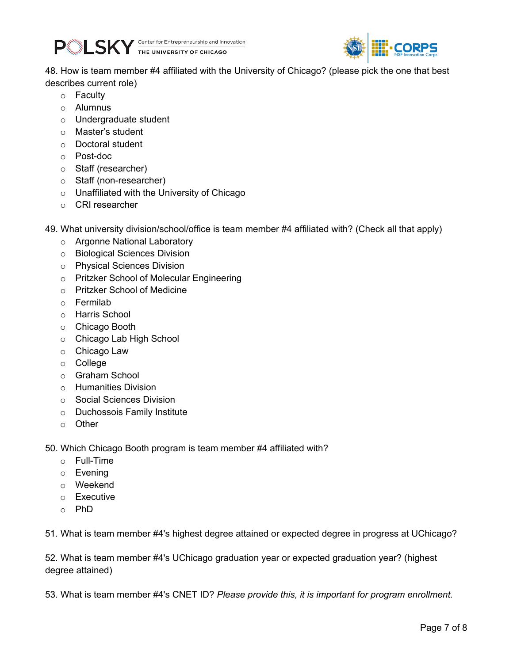



48. How is team member #4 affiliated with the University of Chicago? (please pick the one that best describes current role)

- o Faculty
- o Alumnus
- o Undergraduate student
- o Master's student
- o Doctoral student
- o Post-doc
- o Staff (researcher)
- o Staff (non-researcher)
- o Unaffiliated with the University of Chicago
- o CRI researcher

49. What university division/school/office is team member #4 affiliated with? (Check all that apply)

- o Argonne National Laboratory
- o Biological Sciences Division
- o Physical Sciences Division
- o Pritzker School of Molecular Engineering
- o Pritzker School of Medicine
- o Fermilab
- o Harris School
- o Chicago Booth
- o Chicago Lab High School
- o Chicago Law
- o College
- o Graham School
- o Humanities Division
- o Social Sciences Division
- o Duchossois Family Institute
- o Other

50. Which Chicago Booth program is team member #4 affiliated with?

- o Full-Time
- o Evening
- o Weekend
- o Executive
- o PhD

51. What is team member #4's highest degree attained or expected degree in progress at UChicago?

52. What is team member #4's UChicago graduation year or expected graduation year? (highest degree attained)

53. What is team member #4's CNET ID? *Please provide this, it is important for program enrollment.*